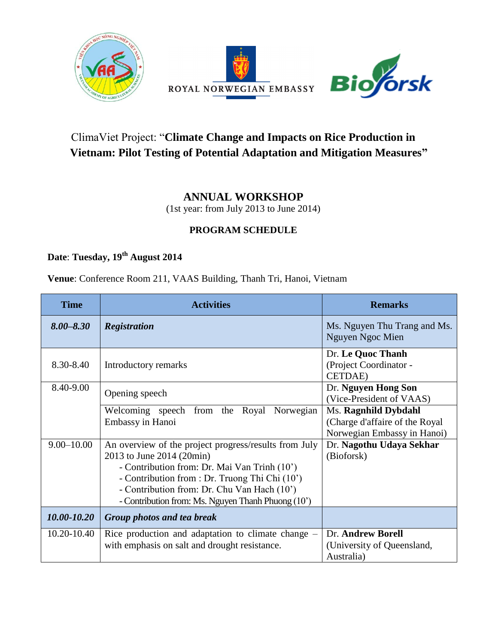





## ClimaViet Project: "**Climate Change and Impacts on Rice Production in Vietnam: Pilot Testing of Potential Adaptation and Mitigation Measures"**

## **ANNUAL WORKSHOP**

(1st year: from July 2013 to June 2014)

## **PROGRAM SCHEDULE**

**Date**: **Tuesday, 19th August 2014**

**Venue**: Conference Room 211, VAAS Building, Thanh Tri, Hanoi, Vietnam

| <b>Time</b>    | <b>Activities</b>                                                                                                                                                                                                                                                                         | <b>Remarks</b>                                                                        |
|----------------|-------------------------------------------------------------------------------------------------------------------------------------------------------------------------------------------------------------------------------------------------------------------------------------------|---------------------------------------------------------------------------------------|
| $8.00 - 8.30$  | <b>Registration</b>                                                                                                                                                                                                                                                                       | Ms. Nguyen Thu Trang and Ms.<br>Nguyen Ngoc Mien                                      |
| 8.30-8.40      | Introductory remarks                                                                                                                                                                                                                                                                      | Dr. Le Quoc Thanh<br>(Project Coordinator -<br><b>CETDAE</b> )                        |
| 8.40-9.00      | Opening speech                                                                                                                                                                                                                                                                            | Dr. Nguyen Hong Son<br>(Vice-President of VAAS)                                       |
|                | Welcoming speech from the Royal<br>Norwegian<br>Embassy in Hanoi                                                                                                                                                                                                                          | Ms. Ragnhild Dybdahl<br>(Charge d'affaire of the Royal<br>Norwegian Embassy in Hanoi) |
| $9.00 - 10.00$ | An overview of the project progress/results from July<br>2013 to June 2014 (20min)<br>- Contribution from: Dr. Mai Van Trinh (10')<br>- Contribution from : Dr. Truong Thi Chi (10')<br>- Contribution from: Dr. Chu Van Hach (10')<br>- Contribution from: Ms. Nguyen Thanh Phuong (10') | Dr. Nagothu Udaya Sekhar<br>(Bioforsk)                                                |
| 10.00-10.20    | Group photos and tea break                                                                                                                                                                                                                                                                |                                                                                       |
| 10.20-10.40    | Rice production and adaptation to climate change $-$<br>with emphasis on salt and drought resistance.                                                                                                                                                                                     | Dr. Andrew Borell<br>(University of Queensland,<br>Australia)                         |